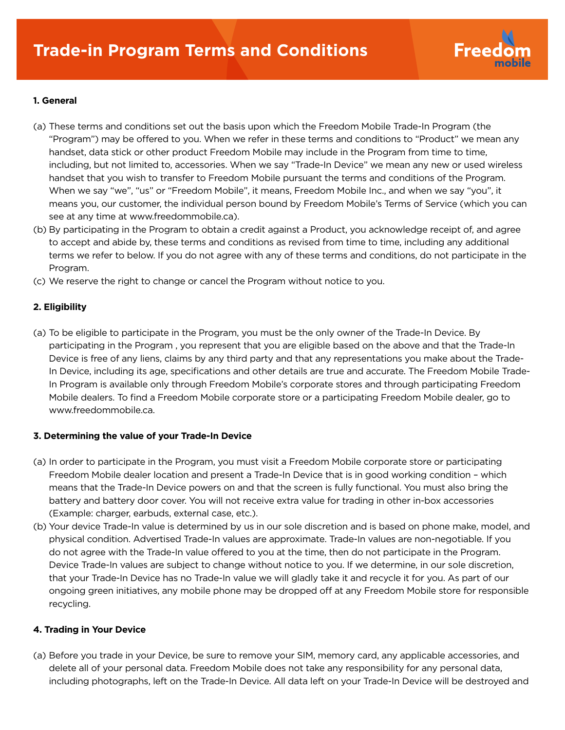

# **1. General**

- (a) These terms and conditions set out the basis upon which the Freedom Mobile Trade-In Program (the "Program") may be offered to you. When we refer in these terms and conditions to "Product" we mean any handset, data stick or other product Freedom Mobile may include in the Program from time to time, including, but not limited to, accessories. When we say "Trade-In Device" we mean any new or used wireless handset that you wish to transfer to Freedom Mobile pursuant the terms and conditions of the Program. When we say "we", "us" or "Freedom Mobile", it means, Freedom Mobile Inc., and when we say "you", it means you, our customer, the individual person bound by Freedom Mobile's Terms of Service (which you can see at any time at www.freedommobile.ca).
- (b) By participating in the Program to obtain a credit against a Product, you acknowledge receipt of, and agree to accept and abide by, these terms and conditions as revised from time to time, including any additional terms we refer to below. If you do not agree with any of these terms and conditions, do not participate in the Program.
- (c) We reserve the right to change or cancel the Program without notice to you.

## **2. Eligibility**

(a) To be eligible to participate in the Program, you must be the only owner of the Trade-In Device. By participating in the Program , you represent that you are eligible based on the above and that the Trade-In Device is free of any liens, claims by any third party and that any representations you make about the Trade- In Device, including its age, specifications and other details are true and accurate. The Freedom Mobile Trade- In Program is available only through Freedom Mobile's corporate stores and through participating Freedom Mobile dealers. To find a Freedom Mobile corporate store or a participating Freedom Mobile dealer, go to www.freedommobile.ca.

## **3. Determining the value of your Trade-In Device**

- (a) In order to participate in the Program, you must visit a Freedom Mobile corporate store or participating Freedom Mobile dealer location and present a Trade-In Device that is in good working condition – which means that the Trade-In Device powers on and that the screen is fully functional. You must also bring the battery and battery door cover. You will not receive extra value for trading in other in-box accessories (Example: charger, earbuds, external case, etc.).
- (b) Your device Trade-In value is determined by us in our sole discretion and is based on phone make, model, and physical condition. Advertised Trade-In values are approximate. Trade-In values are non-negotiable. If you do not agree with the Trade-In value offered to you at the time, then do not participate in the Program. Device Trade-In values are subject to change without notice to you. If we determine, in our sole discretion, that your Trade-In Device has no Trade-In value we will gladly take it and recycle it for you. As part of our ongoing green initiatives, any mobile phone may be dropped off at any Freedom Mobile store for responsible recycling.

## **4. Trading in Your Device**

(a) Before you trade in your Device, be sure to remove your SIM, memory card, any applicable accessories, and delete all of your personal data. Freedom Mobile does not take any responsibility for any personal data, including photographs, left on the Trade-In Device. All data left on your Trade-In Device will be destroyed and